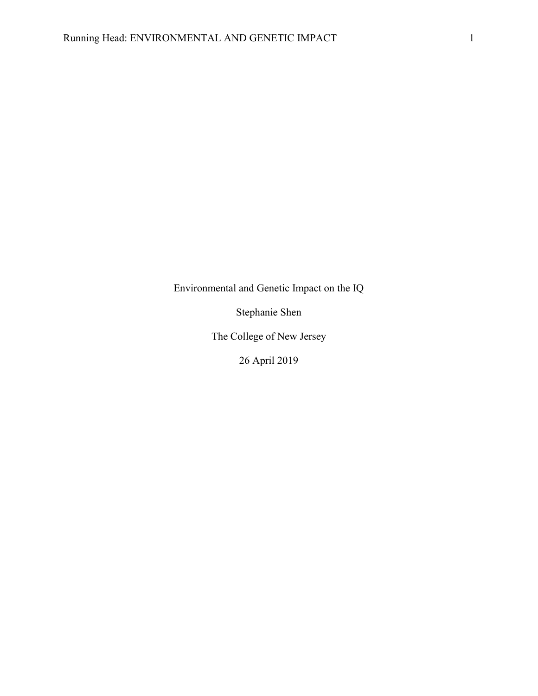Environmental and Genetic Impact on the IQ

Stephanie Shen

The College of New Jersey

26 April 2019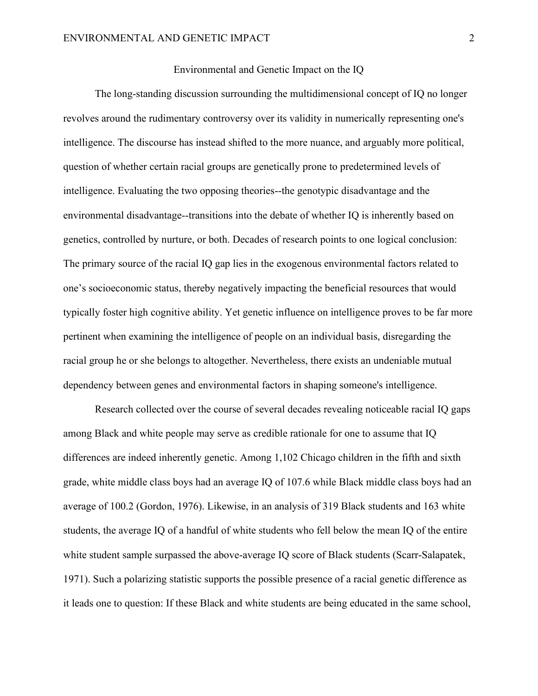## Environmental and Genetic Impact on the IQ

The long-standing discussion surrounding the multidimensional concept of IQ no longer revolves around the rudimentary controversy over its validity in numerically representing one's intelligence. The discourse has instead shifted to the more nuance, and arguably more political, question of whether certain racial groups are genetically prone to predetermined levels of intelligence. Evaluating the two opposing theories--the genotypic disadvantage and the environmental disadvantage--transitions into the debate of whether IQ is inherently based on genetics, controlled by nurture, or both. Decades of research points to one logical conclusion: The primary source of the racial IQ gap lies in the exogenous environmental factors related to one's socioeconomic status, thereby negatively impacting the beneficial resources that would typically foster high cognitive ability. Yet genetic influence on intelligence proves to be far more pertinent when examining the intelligence of people on an individual basis, disregarding the racial group he or she belongs to altogether. Nevertheless, there exists an undeniable mutual dependency between genes and environmental factors in shaping someone's intelligence.

Research collected over the course of several decades revealing noticeable racial IQ gaps among Black and white people may serve as credible rationale for one to assume that IQ differences are indeed inherently genetic. Among 1,102 Chicago children in the fifth and sixth grade, white middle class boys had an average IQ of 107.6 while Black middle class boys had an average of 100.2 (Gordon, 1976). Likewise, in an analysis of 319 Black students and 163 white students, the average IQ of a handful of white students who fell below the mean IQ of the entire white student sample surpassed the above-average IQ score of Black students (Scarr-Salapatek, 1971). Such a polarizing statistic supports the possible presence of a racial genetic difference as it leads one to question: If these Black and white students are being educated in the same school,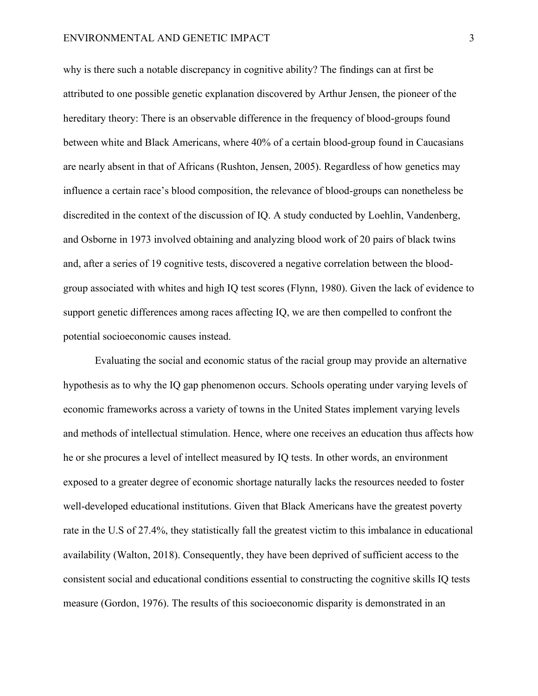why is there such a notable discrepancy in cognitive ability? The findings can at first be attributed to one possible genetic explanation discovered by Arthur Jensen, the pioneer of the hereditary theory: There is an observable difference in the frequency of blood-groups found between white and Black Americans, where 40% of a certain blood-group found in Caucasians are nearly absent in that of Africans (Rushton, Jensen, 2005). Regardless of how genetics may influence a certain race's blood composition, the relevance of blood-groups can nonetheless be discredited in the context of the discussion of IQ. A study conducted by Loehlin, Vandenberg, and Osborne in 1973 involved obtaining and analyzing blood work of 20 pairs of black twins and, after a series of 19 cognitive tests, discovered a negative correlation between the bloodgroup associated with whites and high IQ test scores (Flynn, 1980). Given the lack of evidence to support genetic differences among races affecting IQ, we are then compelled to confront the potential socioeconomic causes instead.

Evaluating the social and economic status of the racial group may provide an alternative hypothesis as to why the IQ gap phenomenon occurs. Schools operating under varying levels of economic frameworks across a variety of towns in the United States implement varying levels and methods of intellectual stimulation. Hence, where one receives an education thus affects how he or she procures a level of intellect measured by IQ tests. In other words, an environment exposed to a greater degree of economic shortage naturally lacks the resources needed to foster well-developed educational institutions. Given that Black Americans have the greatest poverty rate in the U.S of 27.4%, they statistically fall the greatest victim to this imbalance in educational availability (Walton, 2018). Consequently, they have been deprived of sufficient access to the consistent social and educational conditions essential to constructing the cognitive skills IQ tests measure (Gordon, 1976). The results of this socioeconomic disparity is demonstrated in an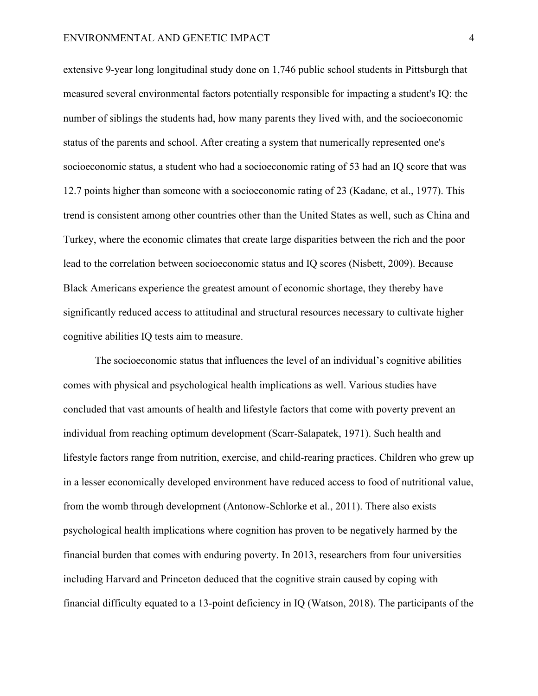extensive 9-year long longitudinal study done on 1,746 public school students in Pittsburgh that measured several environmental factors potentially responsible for impacting a student's IQ: the number of siblings the students had, how many parents they lived with, and the socioeconomic status of the parents and school. After creating a system that numerically represented one's socioeconomic status, a student who had a socioeconomic rating of 53 had an IQ score that was 12.7 points higher than someone with a socioeconomic rating of 23 (Kadane, et al., 1977). This trend is consistent among other countries other than the United States as well, such as China and Turkey, where the economic climates that create large disparities between the rich and the poor lead to the correlation between socioeconomic status and IQ scores (Nisbett, 2009). Because Black Americans experience the greatest amount of economic shortage, they thereby have significantly reduced access to attitudinal and structural resources necessary to cultivate higher cognitive abilities IQ tests aim to measure.

The socioeconomic status that influences the level of an individual's cognitive abilities comes with physical and psychological health implications as well. Various studies have concluded that vast amounts of health and lifestyle factors that come with poverty prevent an individual from reaching optimum development (Scarr-Salapatek, 1971). Such health and lifestyle factors range from nutrition, exercise, and child-rearing practices. Children who grew up in a lesser economically developed environment have reduced access to food of nutritional value, from the womb through development (Antonow-Schlorke et al., 2011). There also exists psychological health implications where cognition has proven to be negatively harmed by the financial burden that comes with enduring poverty. In 2013, researchers from four universities including Harvard and Princeton deduced that the cognitive strain caused by coping with financial difficulty equated to a 13-point deficiency in IQ (Watson, 2018). The participants of the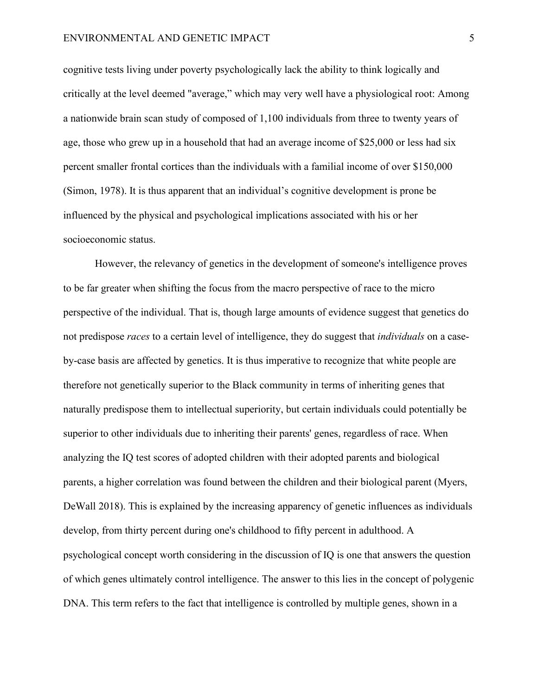cognitive tests living under poverty psychologically lack the ability to think logically and critically at the level deemed "average," which may very well have a physiological root: Among a nationwide brain scan study of composed of 1,100 individuals from three to twenty years of age, those who grew up in a household that had an average income of \$25,000 or less had six percent smaller frontal cortices than the individuals with a familial income of over \$150,000 (Simon, 1978). It is thus apparent that an individual's cognitive development is prone be influenced by the physical and psychological implications associated with his or her socioeconomic status.

However, the relevancy of genetics in the development of someone's intelligence proves to be far greater when shifting the focus from the macro perspective of race to the micro perspective of the individual. That is, though large amounts of evidence suggest that genetics do not predispose *races* to a certain level of intelligence, they do suggest that *individuals* on a caseby-case basis are affected by genetics. It is thus imperative to recognize that white people are therefore not genetically superior to the Black community in terms of inheriting genes that naturally predispose them to intellectual superiority, but certain individuals could potentially be superior to other individuals due to inheriting their parents' genes, regardless of race. When analyzing the IQ test scores of adopted children with their adopted parents and biological parents, a higher correlation was found between the children and their biological parent (Myers, DeWall 2018). This is explained by the increasing apparency of genetic influences as individuals develop, from thirty percent during one's childhood to fifty percent in adulthood. A psychological concept worth considering in the discussion of IQ is one that answers the question of which genes ultimately control intelligence. The answer to this lies in the concept of polygenic DNA. This term refers to the fact that intelligence is controlled by multiple genes, shown in a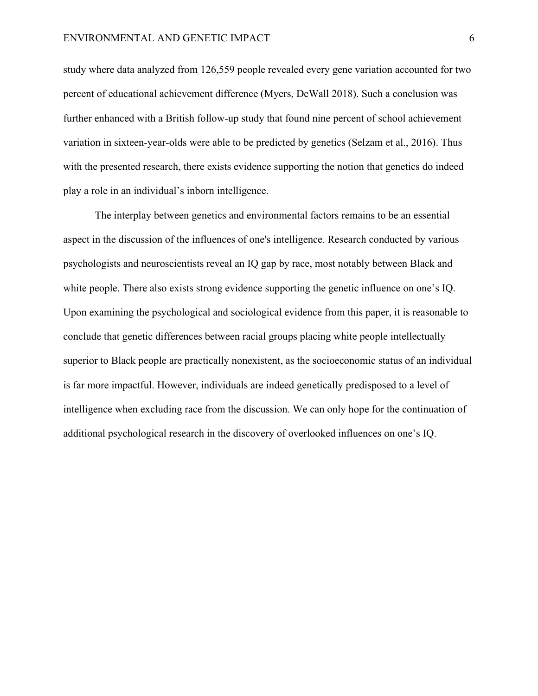study where data analyzed from 126,559 people revealed every gene variation accounted for two percent of educational achievement difference (Myers, DeWall 2018). Such a conclusion was further enhanced with a British follow-up study that found nine percent of school achievement variation in sixteen-year-olds were able to be predicted by genetics (Selzam et al., 2016). Thus with the presented research, there exists evidence supporting the notion that genetics do indeed play a role in an individual's inborn intelligence.

The interplay between genetics and environmental factors remains to be an essential aspect in the discussion of the influences of one's intelligence. Research conducted by various psychologists and neuroscientists reveal an IQ gap by race, most notably between Black and white people. There also exists strong evidence supporting the genetic influence on one's IQ. Upon examining the psychological and sociological evidence from this paper, it is reasonable to conclude that genetic differences between racial groups placing white people intellectually superior to Black people are practically nonexistent, as the socioeconomic status of an individual is far more impactful. However, individuals are indeed genetically predisposed to a level of intelligence when excluding race from the discussion. We can only hope for the continuation of additional psychological research in the discovery of overlooked influences on one's IQ.